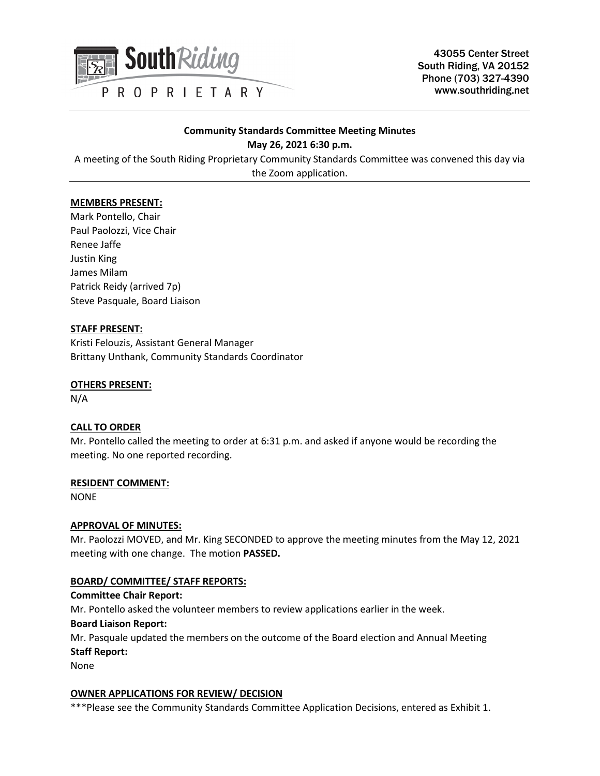

43055 Center Street South Riding, VA 20152 Phone (703) 327-4390 www.southriding.net

# **Community Standards Committee Meeting Minutes May 26, 2021 6:30 p.m.**

A meeting of the South Riding Proprietary Community Standards Committee was convened this day via the Zoom application.

# **MEMBERS PRESENT:**

Mark Pontello, Chair Paul Paolozzi, Vice Chair Renee Jaffe Justin King James Milam Patrick Reidy (arrived 7p) Steve Pasquale, Board Liaison

# **STAFF PRESENT:**

Kristi Felouzis, Assistant General Manager Brittany Unthank, Community Standards Coordinator

# **OTHERS PRESENT:**

N/A

# **CALL TO ORDER**

Mr. Pontello called the meeting to order at 6:31 p.m. and asked if anyone would be recording the meeting. No one reported recording.

### **RESIDENT COMMENT:**

NONE

### **APPROVAL OF MINUTES:**

Mr. Paolozzi MOVED, and Mr. King SECONDED to approve the meeting minutes from the May 12, 2021 meeting with one change. The motion **PASSED.**

# **BOARD/ COMMITTEE/ STAFF REPORTS:**

### **Committee Chair Report:**

Mr. Pontello asked the volunteer members to review applications earlier in the week.

### **Board Liaison Report:**

Mr. Pasquale updated the members on the outcome of the Board election and Annual Meeting **Staff Report:**

None

### **OWNER APPLICATIONS FOR REVIEW/ DECISION**

\*\*\*Please see the Community Standards Committee Application Decisions, entered as Exhibit 1.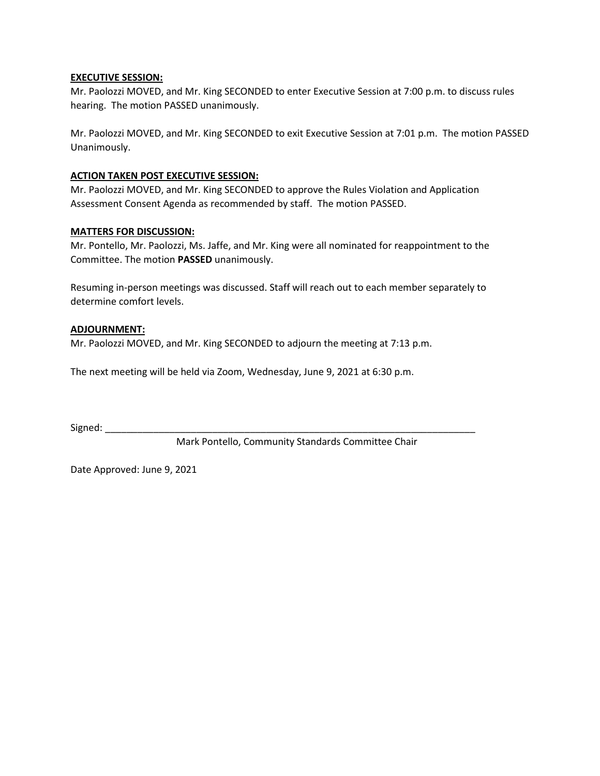# **EXECUTIVE SESSION:**

Mr. Paolozzi MOVED, and Mr. King SECONDED to enter Executive Session at 7:00 p.m. to discuss rules hearing. The motion PASSED unanimously.

Mr. Paolozzi MOVED, and Mr. King SECONDED to exit Executive Session at 7:01 p.m. The motion PASSED Unanimously.

# **ACTION TAKEN POST EXECUTIVE SESSION:**

Mr. Paolozzi MOVED, and Mr. King SECONDED to approve the Rules Violation and Application Assessment Consent Agenda as recommended by staff. The motion PASSED.

# **MATTERS FOR DISCUSSION:**

Mr. Pontello, Mr. Paolozzi, Ms. Jaffe, and Mr. King were all nominated for reappointment to the Committee. The motion **PASSED** unanimously.

Resuming in-person meetings was discussed. Staff will reach out to each member separately to determine comfort levels.

# **ADJOURNMENT:**

Mr. Paolozzi MOVED, and Mr. King SECONDED to adjourn the meeting at 7:13 p.m.

The next meeting will be held via Zoom, Wednesday, June 9, 2021 at 6:30 p.m.

 $Signed:$ 

Mark Pontello, Community Standards Committee Chair

Date Approved: June 9, 2021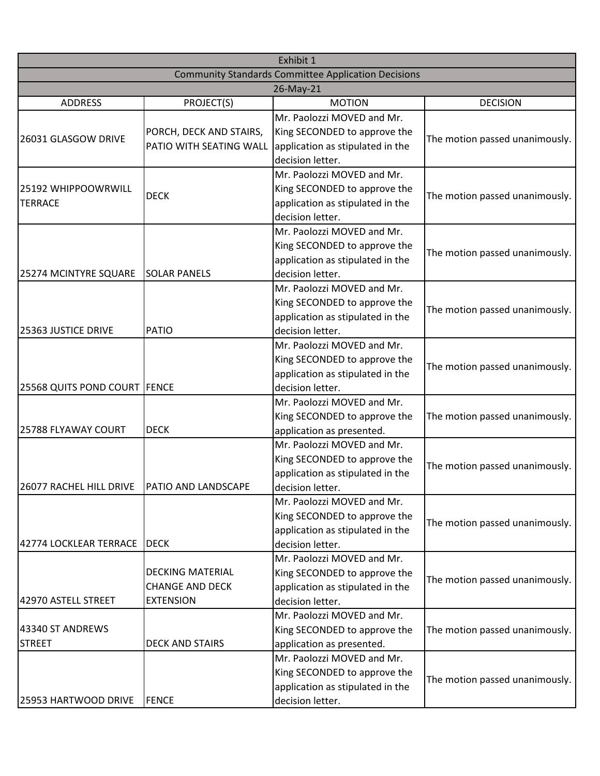| Exhibit 1                                                  |                            |                                  |                                |  |  |
|------------------------------------------------------------|----------------------------|----------------------------------|--------------------------------|--|--|
| <b>Community Standards Committee Application Decisions</b> |                            |                                  |                                |  |  |
| 26-May-21                                                  |                            |                                  |                                |  |  |
| <b>ADDRESS</b>                                             | PROJECT(S)                 | <b>MOTION</b>                    | <b>DECISION</b>                |  |  |
|                                                            |                            | Mr. Paolozzi MOVED and Mr.       |                                |  |  |
| 26031 GLASGOW DRIVE                                        | PORCH, DECK AND STAIRS,    | King SECONDED to approve the     | The motion passed unanimously. |  |  |
|                                                            | PATIO WITH SEATING WALL    | application as stipulated in the |                                |  |  |
|                                                            |                            | decision letter.                 |                                |  |  |
|                                                            |                            | Mr. Paolozzi MOVED and Mr.       |                                |  |  |
| 25192 WHIPPOOWRWILL<br><b>TERRACE</b>                      | <b>DECK</b>                | King SECONDED to approve the     | The motion passed unanimously. |  |  |
|                                                            |                            | application as stipulated in the |                                |  |  |
|                                                            |                            | decision letter.                 |                                |  |  |
|                                                            |                            | Mr. Paolozzi MOVED and Mr.       |                                |  |  |
|                                                            |                            | King SECONDED to approve the     |                                |  |  |
|                                                            |                            | application as stipulated in the | The motion passed unanimously. |  |  |
| 25274 MCINTYRE SQUARE                                      | <b>SOLAR PANELS</b>        | decision letter.                 |                                |  |  |
|                                                            |                            | Mr. Paolozzi MOVED and Mr.       |                                |  |  |
|                                                            |                            | King SECONDED to approve the     |                                |  |  |
|                                                            |                            | application as stipulated in the | The motion passed unanimously. |  |  |
| 25363 JUSTICE DRIVE                                        | PATIO                      | decision letter.                 |                                |  |  |
|                                                            |                            | Mr. Paolozzi MOVED and Mr.       |                                |  |  |
|                                                            |                            | King SECONDED to approve the     |                                |  |  |
|                                                            |                            | application as stipulated in the | The motion passed unanimously. |  |  |
| 25568 QUITS POND COURT FENCE                               |                            | decision letter.                 |                                |  |  |
|                                                            |                            | Mr. Paolozzi MOVED and Mr.       |                                |  |  |
|                                                            |                            | King SECONDED to approve the     | The motion passed unanimously. |  |  |
| 25788 FLYAWAY COURT                                        | <b>DECK</b>                | application as presented.        |                                |  |  |
|                                                            |                            | Mr. Paolozzi MOVED and Mr.       |                                |  |  |
|                                                            |                            | King SECONDED to approve the     | The motion passed unanimously. |  |  |
|                                                            |                            | application as stipulated in the |                                |  |  |
| 26077 RACHEL HILL DRIVE                                    | <b>PATIO AND LANDSCAPE</b> | decision letter.                 |                                |  |  |
|                                                            |                            | Mr. Paolozzi MOVED and Mr.       |                                |  |  |
|                                                            |                            | King SECONDED to approve the     |                                |  |  |
|                                                            |                            | application as stipulated in the | The motion passed unanimously. |  |  |
| 42774 LOCKLEAR TERRACE                                     | <b>DECK</b>                | decision letter.                 |                                |  |  |
|                                                            |                            | Mr. Paolozzi MOVED and Mr.       |                                |  |  |
|                                                            | <b>DECKING MATERIAL</b>    | King SECONDED to approve the     |                                |  |  |
|                                                            | <b>CHANGE AND DECK</b>     | application as stipulated in the | The motion passed unanimously. |  |  |
| 42970 ASTELL STREET                                        | <b>EXTENSION</b>           | decision letter.                 |                                |  |  |
|                                                            |                            | Mr. Paolozzi MOVED and Mr.       |                                |  |  |
| 43340 ST ANDREWS                                           |                            | King SECONDED to approve the     | The motion passed unanimously. |  |  |
| <b>STREET</b>                                              | <b>DECK AND STAIRS</b>     | application as presented.        |                                |  |  |
|                                                            |                            | Mr. Paolozzi MOVED and Mr.       |                                |  |  |
|                                                            |                            | King SECONDED to approve the     |                                |  |  |
|                                                            |                            | application as stipulated in the | The motion passed unanimously. |  |  |
| 25953 HARTWOOD DRIVE                                       | <b>FENCE</b>               | decision letter.                 |                                |  |  |
|                                                            |                            |                                  |                                |  |  |